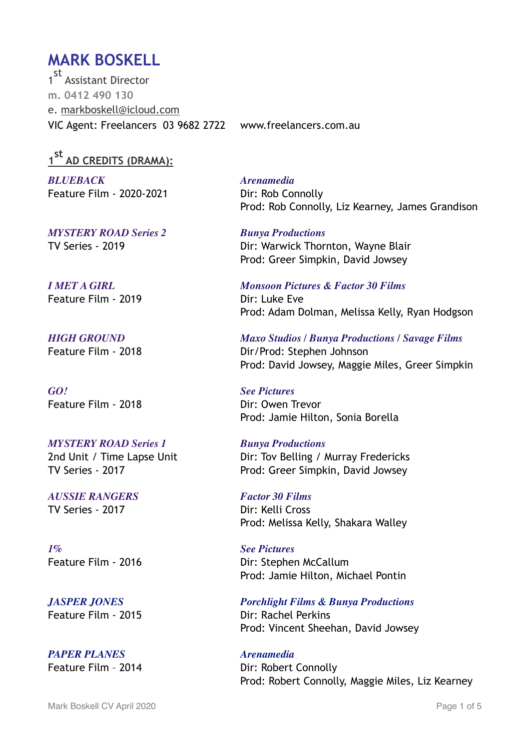# **MARK BOSKELL**

1 st Assistant Director **m. 0412 490 130** e. [markboskell@icloud.com](mailto:markboskell@icloud.com) VIC Agent: Freelancers 03 9682 2722 www.freelancers.com.au

**1 st AD CREDITS (DRAMA):**

*BLUEBACK Arenamedia* Feature Film - 2020-2021 Dir: Rob Connolly

*MYSTERY ROAD Series 2 Bunya Productions*

Feature Film - 2019 **Dir:** Luke Eve

*GO! See Pictures* Feature Film - 2018 **Dir: Owen Trevor** 

# *MYSTERY ROAD Series 1 Bunya Productions*

*AUSSIE RANGERS Factor 30 Films* TV Series - 2017 Dir: Kelli Cross

*1% See Pictures*

**PAPER PLANES** Arenamedia

Prod: Rob Connolly, Liz Kearney, James Grandison

TV Series - 2019 Dir: Warwick Thornton, Wayne Blair Prod: Greer Simpkin, David Jowsey

*I MET A GIRL Monsoon Pictures & Factor 30 Films* Prod: Adam Dolman, Melissa Kelly, Ryan Hodgson

*HIGH GROUND Maxo Studios / Bunya Productions / Savage Films* Feature Film - 2018 Dir/Prod: Stephen Johnson Prod: David Jowsey, Maggie Miles, Greer Simpkin

Prod: Jamie Hilton, Sonia Borella

2nd Unit / Time Lapse Unit Dir: Tov Belling / Murray Fredericks TV Series - 2017 **Prod: Greer Simpkin, David Jowsey** 

Prod: Melissa Kelly, Shakara Walley

Feature Film - 2016 **Dir: Stephen McCallum** Prod: Jamie Hilton, Michael Pontin

*JASPER JONES Porchlight Films & Bunya Productions* Feature Film - 2015 **Dir: Rachel Perkins** Prod: Vincent Sheehan, David Jowsey

Feature Film - 2014 Dir: Robert Connolly Prod: Robert Connolly, Maggie Miles, Liz Kearney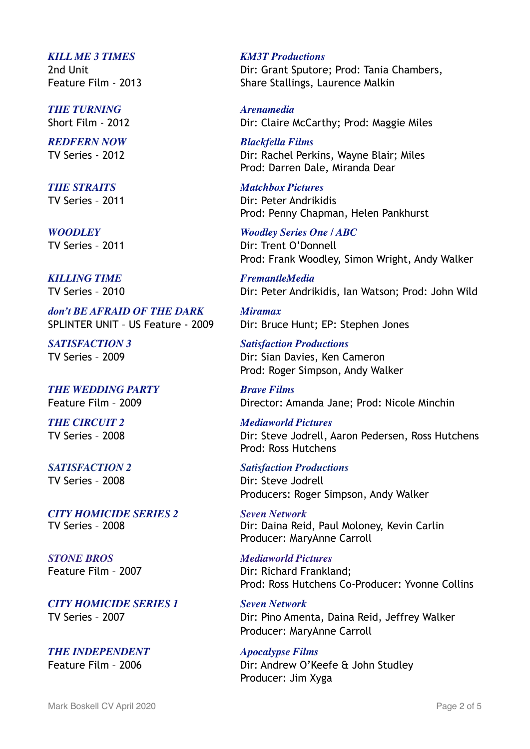### *KILL ME 3 TIMES KM3T Productions*

*THE TURNING Arenamedia*

*REDFERN NOW Blackfella Films*

*THE STRAITS Matchbox Pictures*

**KILLING TIME** FremantleMedia

*don't BE AFRAID OF THE DARK Miramax*

*THE WEDDING PARTY Brave Films*

*CITY HOMICIDE SERIES 2 Seven Network*

*STONE BROS Mediaworld Pictures*

*CITY HOMICIDE SERIES 1 Seven Network*

*THE INDEPENDENT Apocalypse Films*

2nd Unit Dir: Grant Sputore; Prod: Tania Chambers, Feature Film - 2013Share Stallings, Laurence Malkin

Short Film - 2012 Dir: Claire McCarthy; Prod: Maggie Miles

TV Series - 2012 Dir: Rachel Perkins, Wayne Blair; Miles Prod: Darren Dale, Miranda Dear

TV Series – 2011 Dir: Peter Andrikidis Prod: Penny Chapman, Helen Pankhurst

*WOODLEY Woodley Series One / ABC* TV Series - 2011 **Dir: Trent O'Donnell** Prod: Frank Woodley, Simon Wright, Andy Walker

TV Series – 2010 Dir: Peter Andrikidis, Ian Watson; Prod: John Wild

SPLINTER UNIT – US Feature - 2009 Dir: Bruce Hunt; EP: Stephen Jones

*SATISFACTION 3 Satisfaction Productions* TV Series – 2009 Dir: Sian Davies, Ken Cameron Prod: Roger Simpson, Andy Walker

Feature Film – 2009 Director: Amanda Jane; Prod: Nicole Minchin

*THE CIRCUIT 2 Mediaworld Pictures* TV Series – 2008 Dir: Steve Jodrell, Aaron Pedersen, Ross Hutchens Prod: Ross Hutchens

*SATISFACTION 2 Satisfaction Productions* TV Series - 2008 Dir: Steve Jodrell Producers: Roger Simpson, Andy Walker

TV Series – 2008 Dir: Daina Reid, Paul Moloney, Kevin Carlin Producer: MaryAnne Carroll

Feature Film - 2007 **Dir: Richard Frankland:** Prod: Ross Hutchens Co-Producer: Yvonne Collins

TV Series – 2007 Dir: Pino Amenta, Daina Reid, Jeffrey Walker Producer: MaryAnne Carroll

Feature Film - 2006 Dir: Andrew O'Keefe & John Studley Producer: Jim Xyga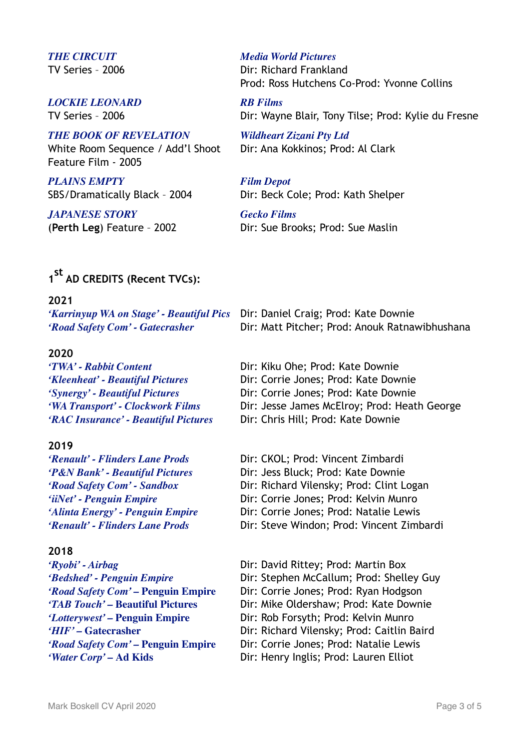# *LOCKIE LEONARD RB Films*

## *THE BOOK OF REVELATION Wildheart Zizani Pty Ltd*

White Room Sequence / Add'l Shoot Dir: Ana Kokkinos; Prod: Al Clark Feature Film - 2005

*PLAINS EMPTY Film Depot*

*JAPANESE STORY Gecko Films*

### *THE CIRCUIT Media World Pictures*

TV Series – 2006 Dir: Richard Frankland Prod: Ross Hutchens Co-Prod: Yvonne Collins

TV Series – 2006 Dir: Wayne Blair, Tony Tilse; Prod: Kylie du Fresne

SBS/Dramatically Black - 2004 Dir: Beck Cole; Prod: Kath Shelper

(**Perth Leg**) Feature – 2002 Dir: Sue Brooks; Prod: Sue Maslin

# **1 st AD CREDITS (Recent TVCs):**

### **2021**

*'Karrinyup WA on Stage' - Beautiful Pics* Dir: Daniel Craig; Prod: Kate Downie *'Road Safety Com' - Gatecrasher* Dir: Matt Pitcher; Prod: Anouk Ratnawibhushana

## **2020**

*'TWA' - Rabbit Content* Dir: Kiku Ohe; Prod: Kate Downie *'RAC Insurance' - Beautiful Pictures* Dir: Chris Hill; Prod: Kate Downie

## **2019**

*'Renault' - Flinders Lane Prods* Dir: Steve Windon; Prod: Vincent Zimbardi

## **2018**

*'Kleenheat' - Beautiful Pictures* Dir: Corrie Jones; Prod: Kate Downie *'Synergy' - Beautiful Pictures* Dir: Corrie Jones; Prod: Kate Downie *'WA Transport' - Clockwork Films* Dir: Jesse James McElroy; Prod: Heath George

*'Renault' - Flinders Lane Prods* Dir: CKOL; Prod: Vincent Zimbardi *'P&N Bank' - Beautiful Pictures* Dir: Jess Bluck; Prod: Kate Downie *'Road Safety Com' - Sandbox* Dir: Richard Vilensky; Prod: Clint Logan *'iiNet' - Penguin Empire* Dir: Corrie Jones; Prod: Kelvin Munro *'Alinta Energy' - Penguin Empire* Dir: Corrie Jones; Prod: Natalie Lewis

*'Ryobi' - Airbag* Dir: David Rittey; Prod: Martin Box *'Bedshed' - Penguin Empire* Dir: Stephen McCallum; Prod: Shelley Guy *'Road Safety Com' – Penguin Empire* Dir: Corrie Jones; Prod: Ryan Hodgson *'TAB Touch' –* **Beautiful Pictures** Dir: Mike Oldershaw; Prod: Kate Downie *'Lotterywest' –* **Penguin Empire** Dir: Rob Forsyth; Prod: Kelvin Munro *'HIF'* – Gatecrasher **Dir: Richard Vilensky**; Prod: Caitlin Baird *'Road Safety Com' – Penguin Empire* Dir: Corrie Jones; Prod: Natalie Lewis *'Water Corp'* – Ad Kids **Dir: Henry Inglis: Prod: Lauren Elliot**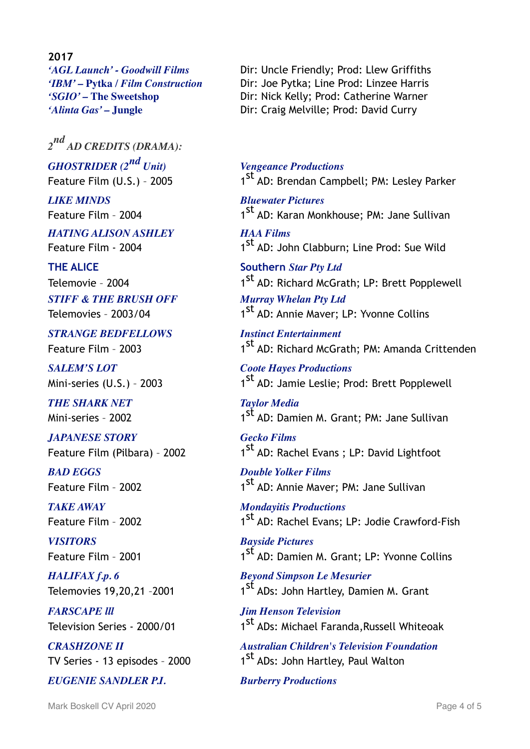**2017**

*2 nd AD CREDITS (DRAMA): GHOSTRIDER (2nd Unit) Vengeance Productions*

*LIKE MINDS Bluewater Pictures*

*HATING ALISON ASHLEY HAA Films*

*STIFF & THE BRUSH OFF Murray Whelan Pty Ltd*

*STRANGE BEDFELLOWS Instinct Entertainment*

*SALEM'S LOT Coote Hayes Productions*

**THE SHARK NET** Taylor Media

*JAPANESE STORY Gecko Films*

*BAD EGGS Double Yolker Films*

*VISITORS Bayside Pictures*

*FARSCAPE lll Jim Henson Television*

*EUGENIE SANDLER P.I. Burberry Productions*

*'AGL Launch' - Goodwill Films* Dir: Uncle Friendly; Prod: Llew Griffiths *'IBM' –* **Pytka** */ Film Construction* Dir: Joe Pytka; Line Prod: Linzee Harris *'SGIO' –* **The Sweetshop** Dir: Nick Kelly; Prod: Catherine Warner *'Alinta Gas'* – **Jungle Dir: Craig Melville; Prod: David Curry** 

Feature Film (U.S.) - 2005 1<sup>st</sup> AD: Brendan Campbell; PM: Lesley Parker

Feature Film - 2004 1st AD: Karan Monkhouse; PM: Jane Sullivan

Feature Film - 2004 1st AD: John Clabburn; Line Prod: Sue Wild

**THE ALICE** Southern *Star Pty Ltd* Telemovie - 2004 1st AD: Richard McGrath; LP: Brett Popplewell

Telemovies - 2003/04 1st AD: Annie Maver; LP: Yvonne Collins

Feature Film - 2003 1st AD: Richard McGrath; PM: Amanda Crittenden

Mini-series (U.S.) - 2003  $1^{st}$  AD: Jamie Leslie; Prod: Brett Popplewell

Mini-series - 2002 1st AD: Damien M. Grant: PM: Jane Sullivan

Feature Film (Pilbara) - 2002  $1^{st}$  AD: Rachel Evans ; LP: David Lightfoot

Feature Film - 2002 1st AD: Annie Maver; PM: Jane Sullivan

*TAKE AWAY Mondayitis Productions* Feature Film - 2002 1st AD: Rachel Evans; LP: Jodie Crawford-Fish

Feature Film - 2001 1st AD: Damien M. Grant; LP: Yvonne Collins

*HALIFAX f.p. 6 Beyond Simpson Le Mesurier* Telemovies 19,20,21 -2001 1st ADs: John Hartley, Damien M. Grant

Television Series - 2000/01 1st ADs: Michael Faranda, Russell Whiteoak

*CRASHZONE II Australian Children's Television Foundation* TV Series - 13 episodes - 2000 1st ADs: John Hartley, Paul Walton